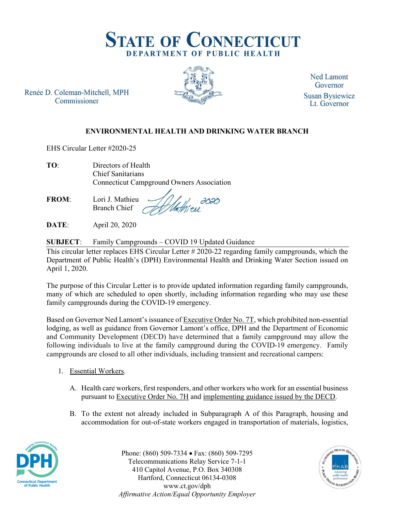

Renée D. Coleman-Mitchell, MPH Commissioner



**Ned Lamont** Governor **Susan Bysiewicz** Lt. Governor

## ENVIRONMENTAL HEALTH AND DRINKING WATER BRANCH

EHS Circular Letter #2020-25

| TO: | Directors of Health                              |
|-----|--------------------------------------------------|
|     | Chief Sanitarians                                |
|     | <b>Connecticut Campground Owners Association</b> |

FROM: Lori J. Mathieu Branch Chief

DATE: April 20, 2020

SUBJECT: Family Campgrounds – COVID 19 Updated Guidance

This circular letter replaces EHS Circular Letter # 2020-22 regarding family campgrounds, which the Department of Public Health's (DPH) Environmental Health and Drinking Water Section issued on April 1, 2020.

The purpose of this Circular Letter is to provide updated information regarding family campgrounds, many of which are scheduled to open shortly, including information regarding who may use these family campgrounds during the COVID-19 emergency.

Based on Governor Ned Lamont's issuance of Executive Order No. 7T, which prohibited non-essential lodging, as well as guidance from Governor Lamont's office, DPH and the Department of Economic and Community Development (DECD) have determined that a family campground may allow the following individuals to live at the family campground during the COVID-19 emergency. Family campgrounds are closed to all other individuals, including transient and recreational campers:

- 1. Essential Workers.
	- A. Health care workers, first responders, and other workers who work for an essential business pursuant to Executive Order No. 7H and implementing guidance issued by the DECD.
	- B. To the extent not already included in Subparagraph A of this Paragraph, housing and accommodation for out-of-state workers engaged in transportation of materials, logistics,



Phone: (860) 509-7334 • Fax: (860) 509-7295 Telecommunications Relay Service 7-1-1 410 Capitol Avenue, P.O. Box 340308 Hartford, Connecticut 06134-0308 www.ct.gov/dph Affirmative Action/Equal Opportunity Employer